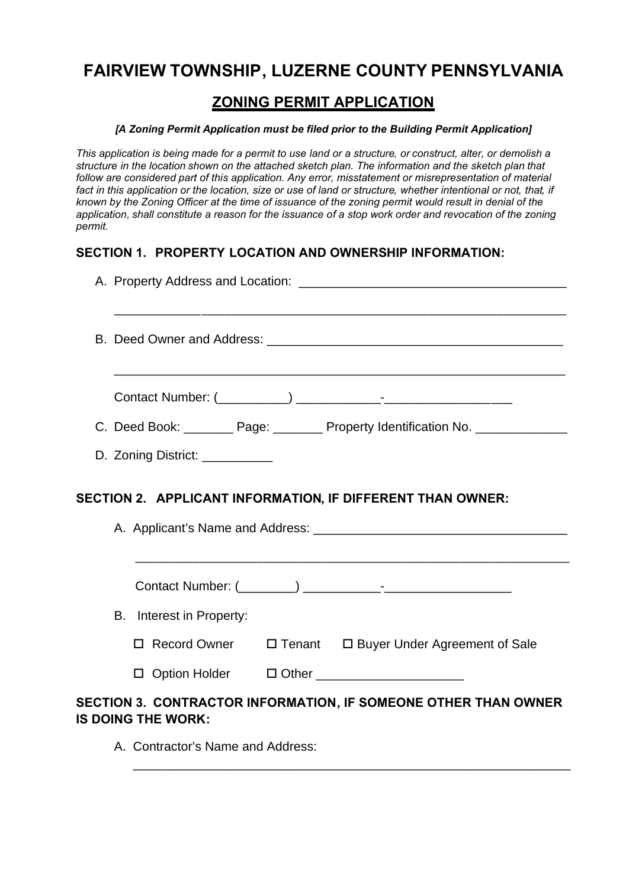# **FAIRVIEW TOWNSHIP, LUZERNE COUNTY PENNSYLVANIA**

## **ZONING PERMIT APPLICATION**

#### *[A Zoning Permit Application must be filed prior to the Building Permit Application]*

*This application is being made for a permit to use land or a structure, or construct, alter, or demolish a structure in the location shown on the attached sketch plan. The information and the sketch plan that follow are considered part of this application. Any error, misstatement or misrepresentation of material fact in this application or the location, size or use of land or structure, whether intentional or not, that, if known by the Zoning Officer at the time of issuance of the zoning permit would result in denial of the* application, shall constitute a reason for the issuance of a stop work order and revocation of the zoning *permit.* 

#### **SECTION 1. PROPERTY LOCATION AND OWNERSHIP INFORMATION:**

|                                                            |  |                                 |  |  |  | C. Deed Book: _________ Page: ________ Property Identification No. _____________ |
|------------------------------------------------------------|--|---------------------------------|--|--|--|----------------------------------------------------------------------------------|
|                                                            |  | D. Zoning District: ___________ |  |  |  |                                                                                  |
| SECTION 2. APPLICANT INFORMATION, IF DIFFERENT THAN OWNER: |  |                                 |  |  |  |                                                                                  |
|                                                            |  |                                 |  |  |  |                                                                                  |
|                                                            |  | B. Interest in Property:        |  |  |  |                                                                                  |
|                                                            |  |                                 |  |  |  | □ Record Owner □ Tenant □ Buyer Under Agreement of Sale                          |
|                                                            |  |                                 |  |  |  | □ Option Holder □ Other ______________________                                   |
|                                                            |  | IS DOING THE WORK:              |  |  |  | SECTION 3. CONTRACTOR INFORMATION, IF SOMEONE OTHER THAN OWNER                   |

\_\_\_\_\_\_\_\_\_\_\_\_\_\_\_\_\_\_\_\_\_\_\_\_\_\_\_\_\_\_\_\_\_\_\_\_\_\_\_\_\_\_\_\_\_\_\_\_\_\_\_\_\_\_\_\_\_\_\_\_\_\_

A. Contractor's Name and Address: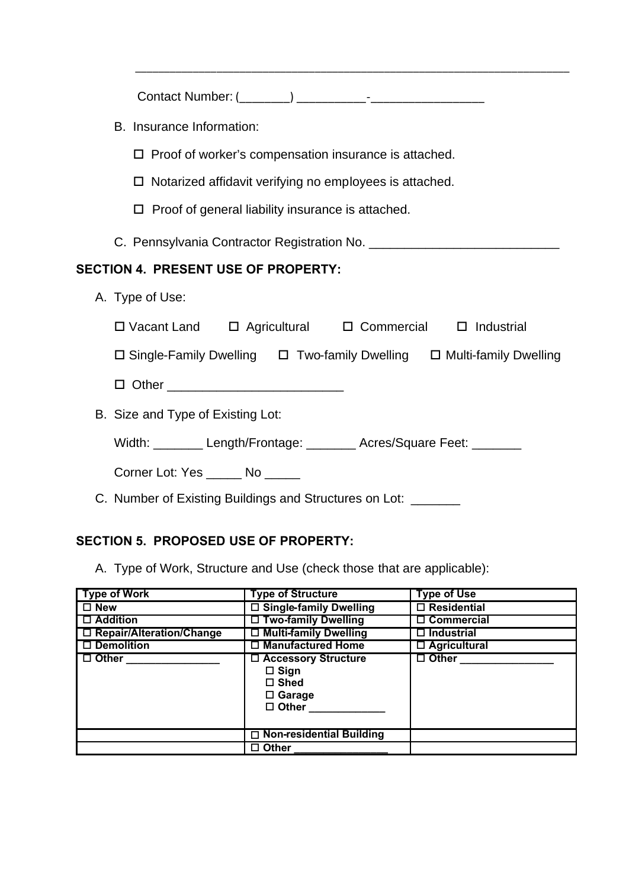| B. Insurance Information:                                                             |  |  |  |  |  |
|---------------------------------------------------------------------------------------|--|--|--|--|--|
| $\Box$ Proof of worker's compensation insurance is attached.                          |  |  |  |  |  |
| $\Box$ Notarized affidavit verifying no employees is attached.                        |  |  |  |  |  |
| $\Box$ Proof of general liability insurance is attached.                              |  |  |  |  |  |
|                                                                                       |  |  |  |  |  |
| SECTION 4. PRESENT USE OF PROPERTY:                                                   |  |  |  |  |  |
| A. Type of Use:                                                                       |  |  |  |  |  |
| $\Box$ Vacant Land $\Box$ Agricultural $\Box$ Commercial $\Box$ Industrial            |  |  |  |  |  |
| $\Box$ Single-Family Dwelling $\Box$ Two-family Dwelling $\Box$ Multi-family Dwelling |  |  |  |  |  |
|                                                                                       |  |  |  |  |  |
|                                                                                       |  |  |  |  |  |
| B. Size and Type of Existing Lot:                                                     |  |  |  |  |  |
| Width: ________ Length/Frontage: _______ Acres/Square Feet: _______                   |  |  |  |  |  |
| Corner Lot: Yes ______ No _____                                                       |  |  |  |  |  |
| C. Number of Existing Buildings and Structures on Lot: _______                        |  |  |  |  |  |

\_\_\_\_\_\_\_\_\_\_\_\_\_\_\_\_\_\_\_\_\_\_\_\_\_\_\_\_\_\_\_\_\_\_\_\_\_\_\_\_\_\_\_\_\_\_\_\_\_\_\_\_\_\_\_\_\_\_\_\_\_\_\_\_\_\_\_\_\_\_\_\_\_\_\_

# **SECTION 5. PROPOSED USE OF PROPERTY:**

A. Type of Work, Structure and Use (check those that are applicable):

| <b>Type of Work</b>        | <b>Type of Structure</b>                                                                | <b>Type of Use</b>  |
|----------------------------|-----------------------------------------------------------------------------------------|---------------------|
| $\square$ New              | □ Single-family Dwelling                                                                | $\Box$ Residential  |
| $\Box$ Addition            | $\Box$ Two-family Dwelling                                                              | $\Box$ Commercial   |
| □ Repair/Alteration/Change | □ Multi-family Dwelling                                                                 | $\Box$ Industrial   |
| $\Box$ Demolition          | $\Box$ Manufactured Home                                                                | $\Box$ Agricultural |
| $\Box$ Other               | □ Accessory Structure<br>$\square$ Sign<br>$\Box$ Shed<br>$\Box$ Garage<br>$\Box$ Other | $\Box$ Other        |
|                            |                                                                                         |                     |
|                            | $\Box$ Non-residential Building                                                         |                     |
|                            | $\Box$ Other                                                                            |                     |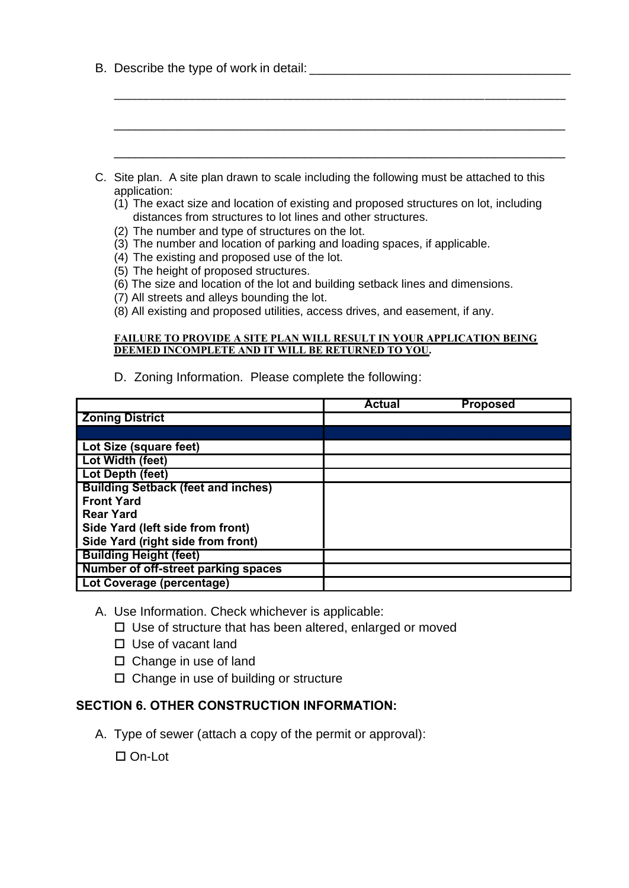| B. Describe the type of work in detail: |
|-----------------------------------------|
|                                         |

| C. Site plan. A site plan drawn to scale including the following must be attached to this<br>application:<br>(1) The exact size and location of existing and proposed structures on lot, including<br>distances from structures to lot lines and other structures.<br>(2) The number and type of structures on the lot.<br>(3) The number and location of parking and loading spaces, if applicable.<br>(4) The existing and proposed use of the lot.<br>(5) The height of proposed structures.<br>(6) The size and location of the lot and building setback lines and dimensions.<br>(7) All streets and alleys bounding the lot.<br>(8) All existing and proposed utilities, access drives, and easement, if any.<br><b>FAILURE TO PROVIDE A SITE PLAN WILL RESULT IN YOUR APPLICATION BEING</b><br>DEEMED INCOMPLETE AND IT WILL BE RETURNED TO YOU. |               |                 |
|---------------------------------------------------------------------------------------------------------------------------------------------------------------------------------------------------------------------------------------------------------------------------------------------------------------------------------------------------------------------------------------------------------------------------------------------------------------------------------------------------------------------------------------------------------------------------------------------------------------------------------------------------------------------------------------------------------------------------------------------------------------------------------------------------------------------------------------------------------|---------------|-----------------|
| D. Zoning Information. Please complete the following:                                                                                                                                                                                                                                                                                                                                                                                                                                                                                                                                                                                                                                                                                                                                                                                                   |               |                 |
|                                                                                                                                                                                                                                                                                                                                                                                                                                                                                                                                                                                                                                                                                                                                                                                                                                                         | <b>Actual</b> | <b>Proposed</b> |
| <b>Zoning District</b>                                                                                                                                                                                                                                                                                                                                                                                                                                                                                                                                                                                                                                                                                                                                                                                                                                  |               |                 |
|                                                                                                                                                                                                                                                                                                                                                                                                                                                                                                                                                                                                                                                                                                                                                                                                                                                         |               |                 |
| Lot Size (square feet)                                                                                                                                                                                                                                                                                                                                                                                                                                                                                                                                                                                                                                                                                                                                                                                                                                  |               |                 |
| Lot Width (feet)                                                                                                                                                                                                                                                                                                                                                                                                                                                                                                                                                                                                                                                                                                                                                                                                                                        |               |                 |
| Lot Depth (feet)                                                                                                                                                                                                                                                                                                                                                                                                                                                                                                                                                                                                                                                                                                                                                                                                                                        |               |                 |
| <b>Building Setback (feet and inches)</b>                                                                                                                                                                                                                                                                                                                                                                                                                                                                                                                                                                                                                                                                                                                                                                                                               |               |                 |
| <b>Front Yard</b>                                                                                                                                                                                                                                                                                                                                                                                                                                                                                                                                                                                                                                                                                                                                                                                                                                       |               |                 |
| <b>Rear Yard</b>                                                                                                                                                                                                                                                                                                                                                                                                                                                                                                                                                                                                                                                                                                                                                                                                                                        |               |                 |
| Side Yard (left side from front)                                                                                                                                                                                                                                                                                                                                                                                                                                                                                                                                                                                                                                                                                                                                                                                                                        |               |                 |
| Side Yard (right side from front)                                                                                                                                                                                                                                                                                                                                                                                                                                                                                                                                                                                                                                                                                                                                                                                                                       |               |                 |
| <b>Building Height (feet)</b>                                                                                                                                                                                                                                                                                                                                                                                                                                                                                                                                                                                                                                                                                                                                                                                                                           |               |                 |
| Number of off-street parking spaces                                                                                                                                                                                                                                                                                                                                                                                                                                                                                                                                                                                                                                                                                                                                                                                                                     |               |                 |
| Lot Coverage (percentage)                                                                                                                                                                                                                                                                                                                                                                                                                                                                                                                                                                                                                                                                                                                                                                                                                               |               |                 |

\_\_\_\_\_\_\_\_\_\_\_\_\_\_\_\_\_\_\_\_\_\_\_\_\_\_\_\_\_\_\_\_\_\_\_\_\_\_\_\_\_\_\_\_\_\_\_\_\_\_\_\_\_\_\_\_\_\_\_\_\_\_\_\_\_\_\_\_\_\_\_\_\_\_\_\_\_\_

- A. Use Information. Check whichever is applicable:
	- Use of structure that has been altered, enlarged or moved
	- □ Use of vacant land
	- □ Change in use of land
	- Change in use of building or structure

### **SECTION 6. OTHER CONSTRUCTION INFORMATION:**

A. Type of sewer (attach a copy of the permit or approval):

□ On-Lot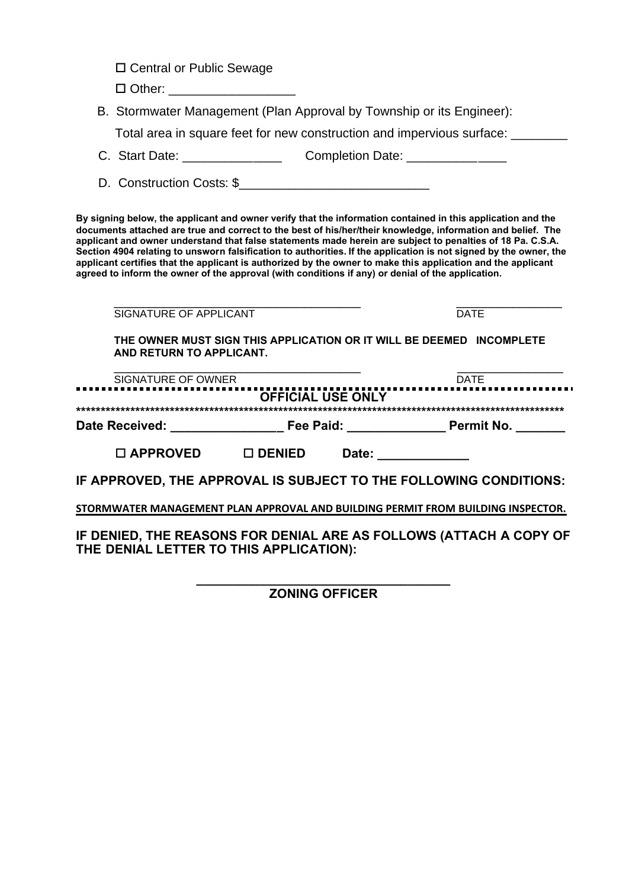□ Central or Public Sewage

 $\Box$  Other:

B. Stormwater Management (Plan Approval by Township or its Engineer):

Total area in square feet for new construction and impervious surface: \_\_\_\_\_\_\_\_

- C. Start Date: \_\_\_\_\_\_\_\_\_\_\_\_\_\_\_\_\_\_\_\_\_\_\_\_ Completion Date: \_\_\_\_\_\_\_\_\_\_\_\_\_\_\_\_\_\_\_\_\_\_\_
- D. Construction Costs: \$\_\_\_\_\_\_\_\_\_\_\_\_\_\_\_\_\_\_\_\_\_\_\_\_\_\_\_

**By signing below, the applicant and owner verify that the information contained in this application and the documents attached are true and correct to the best of his/her/their knowledge, information and belief. The applicant and owner understand that false statements made herein are subject to penalties of 18 Pa. C.S.A. Section 4904 relating to unsworn falsification to authorities. If the application is not signed by the owner, the applicant certifies that the applicant is authorized by the owner to make this application and the applicant agreed to inform the owner of the approval (with conditions if any) or denial of the application.** 

| SIGNATURE OF APPLICANT                  |                          |                                                                                                                                                                                                                                | <b>DATE</b>                                                                      |  |  |  |
|-----------------------------------------|--------------------------|--------------------------------------------------------------------------------------------------------------------------------------------------------------------------------------------------------------------------------|----------------------------------------------------------------------------------|--|--|--|
| AND RETURN TO APPLICANT.                |                          |                                                                                                                                                                                                                                | THE OWNER MUST SIGN THIS APPLICATION OR IT WILL BE DEEMED INCOMPLETE             |  |  |  |
| SIGNATURE OF OWNER                      |                          |                                                                                                                                                                                                                                | <b>DATE</b>                                                                      |  |  |  |
|                                         | <b>OFFICIAL USE ONLY</b> |                                                                                                                                                                                                                                |                                                                                  |  |  |  |
|                                         |                          |                                                                                                                                                                                                                                | Date Received: The Paid: The Paid: The Permit No.                                |  |  |  |
| $\Box$ APPROVED $\Box$ DENIED           |                          | Date: the contract of the contract of the contract of the contract of the contract of the contract of the contract of the contract of the contract of the contract of the contract of the contract of the contract of the cont |                                                                                  |  |  |  |
|                                         |                          |                                                                                                                                                                                                                                | IF APPROVED, THE APPROVAL IS SUBJECT TO THE FOLLOWING CONDITIONS:                |  |  |  |
|                                         |                          |                                                                                                                                                                                                                                | STORMWATER MANAGEMENT PLAN APPROVAL AND BUILDING PERMIT FROM BUILDING INSPECTOR. |  |  |  |
| THE DENIAL LETTER TO THIS APPLICATION): |                          |                                                                                                                                                                                                                                | IF DENIED, THE REASONS FOR DENIAL ARE AS FOLLOWS (ATTACH A COPY OF               |  |  |  |

**\_\_\_\_\_\_\_\_\_\_\_\_\_\_\_\_\_\_\_\_\_\_\_\_\_\_\_\_\_\_\_\_\_\_\_\_ ZONING OFFICER**